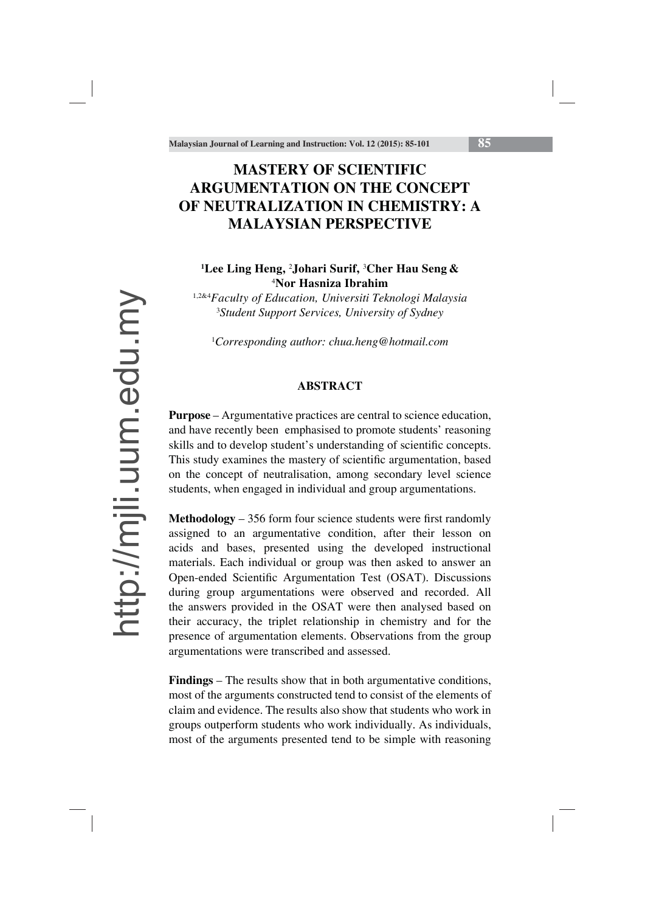# **MASTERY OF SCIENTIFIC ARGUMENTATION ON THE CONCEPT OF NEUTRALIZATION IN CHEMISTRY: A MALAYSIAN PERSPECTIVE**

# **1 Lee Ling Heng,** <sup>2</sup> **Johari Surif,** <sup>3</sup> **Cher Hau Seng &** 4 **Nor Hasniza Ibrahim**

1,2&4*Faculty of Education, Universiti Teknologi Malaysia* 3 *Student Support Services, University of Sydney*

1 *Corresponding author: chua.heng@hotmail.com*

#### **ABSTRACT**

**Purpose** – Argumentative practices are central to science education, and have recently been emphasised to promote students' reasoning skills and to develop student's understanding of scientific concepts. This study examines the mastery of scientific argumentation, based on the concept of neutralisation, among secondary level science students, when engaged in individual and group argumentations.

**Methodology** – 356 form four science students were first randomly assigned to an argumentative condition, after their lesson on acids and bases, presented using the developed instructional materials. Each individual or group was then asked to answer an Open-ended Scientific Argumentation Test (OSAT). Discussions during group argumentations were observed and recorded. All the answers provided in the OSAT were then analysed based on their accuracy, the triplet relationship in chemistry and for the presence of argumentation elements. Observations from the group argumentations were transcribed and assessed.

**Findings** – The results show that in both argumentative conditions, most of the arguments constructed tend to consist of the elements of claim and evidence. The results also show that students who work in groups outperform students who work individually. As individuals, most of the arguments presented tend to be simple with reasoning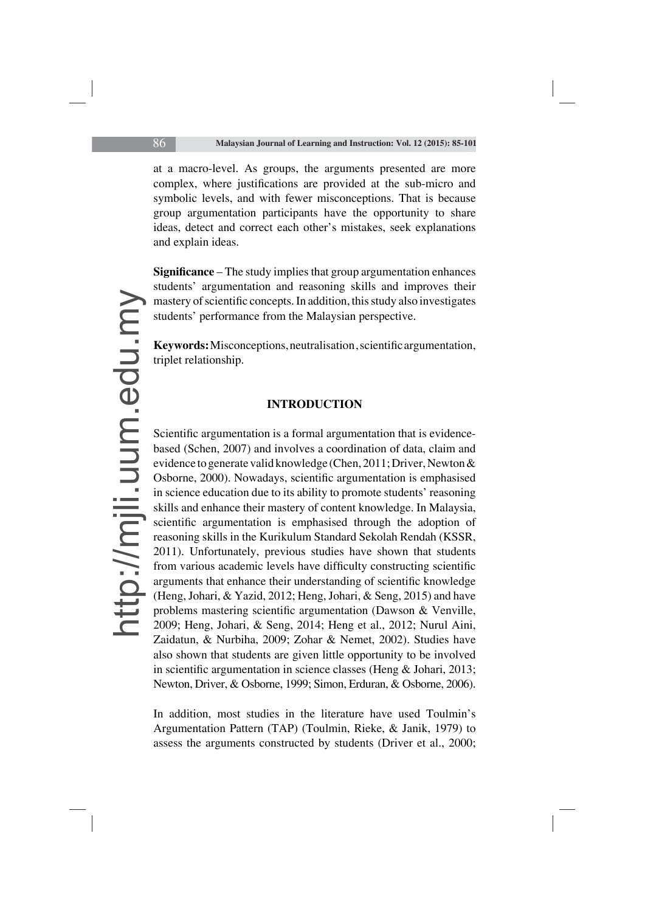at a macro-level. As groups, the arguments presented are more complex, where justifications are provided at the sub-micro and symbolic levels, and with fewer misconceptions. That is because group argumentation participants have the opportunity to share ideas, detect and correct each other's mistakes, seek explanations and explain ideas.

**Significance** – The study implies that group argumentation enhances students' argumentation and reasoning skills and improves their mastery of scientific concepts. In addition, this study also investigates students' performance from the Malaysian perspective.

**Keywords:** Misconceptions, neutralisation, scientific argumentation, triplet relationship.

#### **INTRODUCTION**

Scientific argumentation is a formal argumentation that is evidencebased (Schen, 2007) and involves a coordination of data, claim and evidence to generate valid knowledge (Chen, 2011; Driver, Newton & Osborne, 2000). Nowadays, scientific argumentation is emphasised in science education due to its ability to promote students' reasoning skills and enhance their mastery of content knowledge. In Malaysia, scientific argumentation is emphasised through the adoption of reasoning skills in the Kurikulum Standard Sekolah Rendah (KSSR, 2011). Unfortunately, previous studies have shown that students from various academic levels have difficulty constructing scientific arguments that enhance their understanding of scientific knowledge (Heng, Johari, & Yazid, 2012; Heng, Johari, & Seng, 2015) and have problems mastering scientific argumentation (Dawson  $&$  Venville, 2009; Heng, Johari, & Seng, 2014; Heng et al., 2012; Nurul Aini, Zaidatun, & Nurbiha, 2009; Zohar & Nemet, 2002). Studies have also shown that students are given little opportunity to be involved in scientific argumentation in science classes (Heng  $\&$  Johari, 2013; Newton, Driver, & Osborne, 1999; Simon, Erduran, & Osborne, 2006).

In addition, most studies in the literature have used Toulmin's Argumentation Pattern (TAP) (Toulmin, Rieke, & Janik, 1979) to assess the arguments constructed by students (Driver et al., 2000;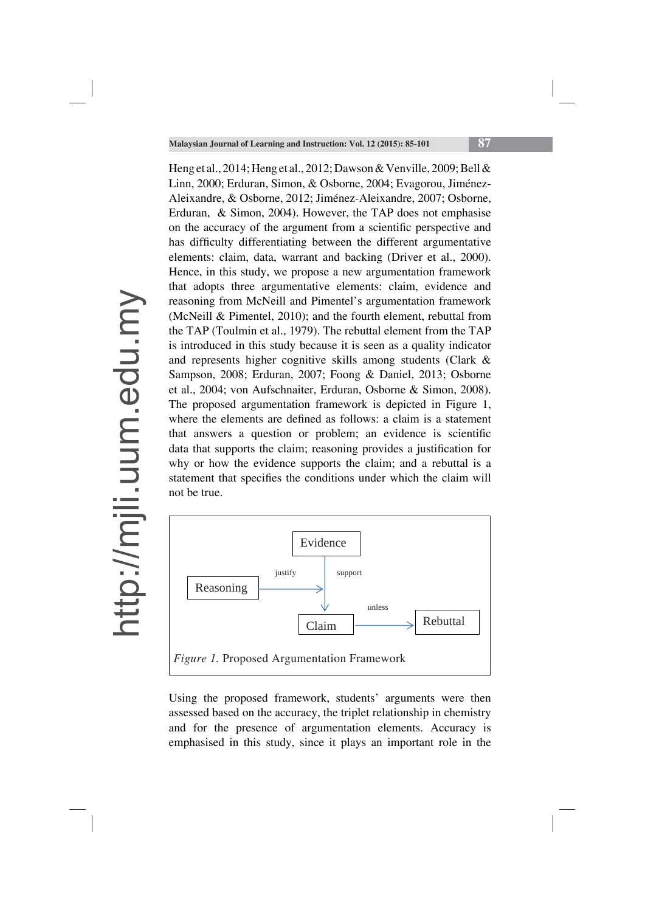Heng et al., 2014; Heng et al., 2012; Dawson & Venville, 2009; Bell & Linn, 2000; Erduran, Simon, & Osborne, 2004; Evagorou, Jiménez-Aleixandre, & Osborne, 2012; Jiménez-Aleixandre, 2007; Osborne, Erduran, & Simon, 2004). However, the TAP does not emphasise on the accuracy of the argument from a scientific perspective and has difficulty differentiating between the different argumentative elements: claim, data, warrant and backing (Driver et al., 2000). Hence, in this study, we propose a new argumentation framework that adopts three argumentative elements: claim, evidence and reasoning from McNeill and Pimentel's argumentation framework (McNeill & Pimentel, 2010); and the fourth element, rebuttal from the TAP (Toulmin et al., 1979). The rebuttal element from the TAP is introduced in this study because it is seen as a quality indicator and represents higher cognitive skills among students (Clark & Sampson, 2008; Erduran, 2007; Foong & Daniel, 2013; Osborne et al., 2004; von Aufschnaiter, Erduran, Osborne & Simon, 2008). The proposed argumentation framework is depicted in Figure 1, where the elements are defined as follows: a claim is a statement that answers a question or problem; an evidence is scientific data that supports the claim; reasoning provides a justification for why or how the evidence supports the claim; and a rebuttal is a statement that specifies the conditions under which the claim will not be true.



Using the proposed framework, students' arguments were then assessed based on the accuracy, the triplet relationship in chemistry and for the presence of argumentation elements. Accuracy is emphasised in this study, since it plays an important role in the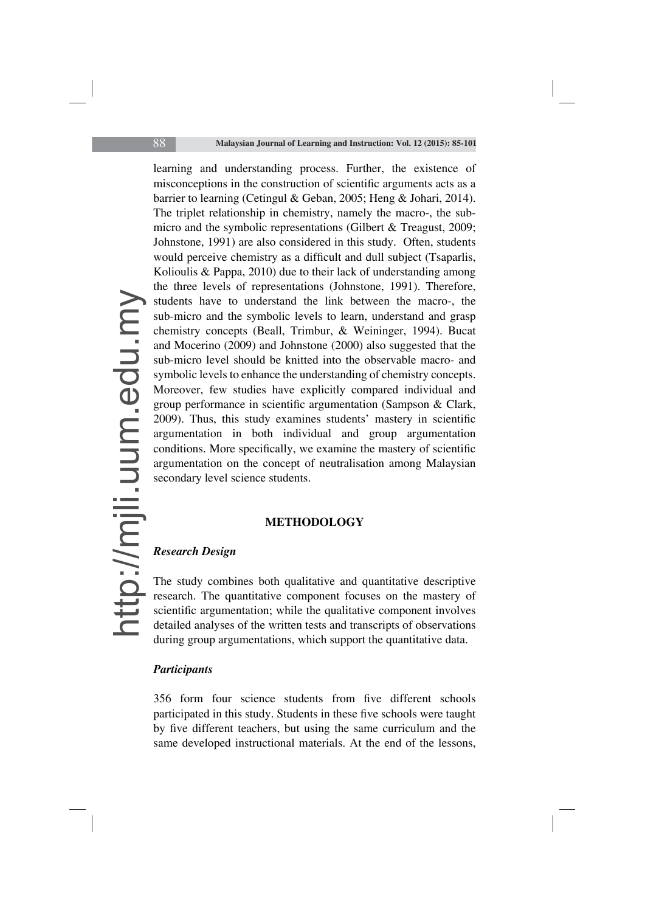learning and understanding process. Further, the existence of misconceptions in the construction of scientific arguments acts as a barrier to learning (Cetingul & Geban, 2005; Heng & Johari, 2014). The triplet relationship in chemistry, namely the macro-, the submicro and the symbolic representations (Gilbert & Treagust, 2009; Johnstone, 1991) are also considered in this study. Often, students would perceive chemistry as a difficult and dull subject (Tsaparlis, Kolioulis & Pappa, 2010) due to their lack of understanding among the three levels of representations (Johnstone, 1991). Therefore, students have to understand the link between the macro-, the sub-micro and the symbolic levels to learn, understand and grasp chemistry concepts (Beall, Trimbur, & Weininger, 1994). Bucat and Mocerino (2009) and Johnstone (2000) also suggested that the sub-micro level should be knitted into the observable macro- and symbolic levels to enhance the understanding of chemistry concepts. Moreover, few studies have explicitly compared individual and group performance in scientific argumentation (Sampson  $& Clark,$ 2009). Thus, this study examines students' mastery in scientific argumentation in both individual and group argumentation conditions. More specifically, we examine the mastery of scientific argumentation on the concept of neutralisation among Malaysian secondary level science students.

#### **METHODOLOGY**

## *Research Design*

The study combines both qualitative and quantitative descriptive research. The quantitative component focuses on the mastery of scientific argumentation; while the qualitative component involves detailed analyses of the written tests and transcripts of observations during group argumentations, which support the quantitative data.

## *Participants*

356 form four science students from five different schools participated in this study. Students in these five schools were taught by five different teachers, but using the same curriculum and the same developed instructional materials. At the end of the lessons,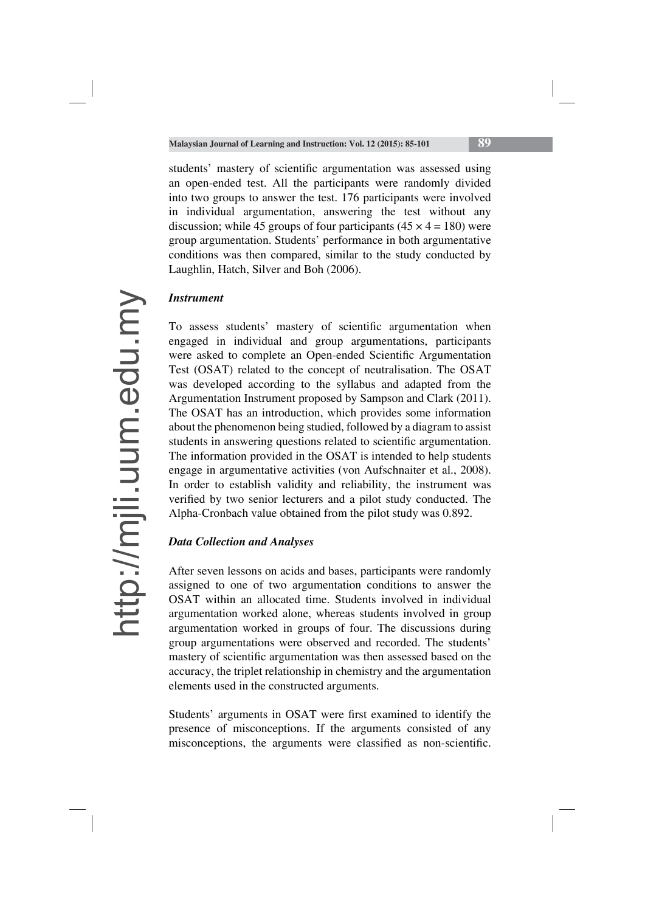students' mastery of scientific argumentation was assessed using an open-ended test. All the participants were randomly divided into two groups to answer the test. 176 participants were involved in individual argumentation, answering the test without any discussion; while 45 groups of four participants  $(45 \times 4 = 180)$  were group argumentation. Students' performance in both argumentative conditions was then compared, similar to the study conducted by Laughlin, Hatch, Silver and Boh (2006).

# *Instrument*

To assess students' mastery of scientific argumentation when engaged in individual and group argumentations, participants were asked to complete an Open-ended Scientific Argumentation Test (OSAT) related to the concept of neutralisation. The OSAT was developed according to the syllabus and adapted from the Argumentation Instrument proposed by Sampson and Clark (2011). The OSAT has an introduction, which provides some information about the phenomenon being studied, followed by a diagram to assist students in answering questions related to scientific argumentation. The information provided in the OSAT is intended to help students engage in argumentative activities (von Aufschnaiter et al., 2008). In order to establish validity and reliability, the instrument was verified by two senior lecturers and a pilot study conducted. The Alpha-Cronbach value obtained from the pilot study was 0.892.

# *Data Collection and Analyses*

After seven lessons on acids and bases, participants were randomly assigned to one of two argumentation conditions to answer the OSAT within an allocated time. Students involved in individual argumentation worked alone, whereas students involved in group argumentation worked in groups of four. The discussions during group argumentations were observed and recorded. The students' mastery of scientific argumentation was then assessed based on the accuracy, the triplet relationship in chemistry and the argumentation elements used in the constructed arguments.

Students' arguments in OSAT were first examined to identify the presence of misconceptions. If the arguments consisted of any misconceptions, the arguments were classified as non-scientific.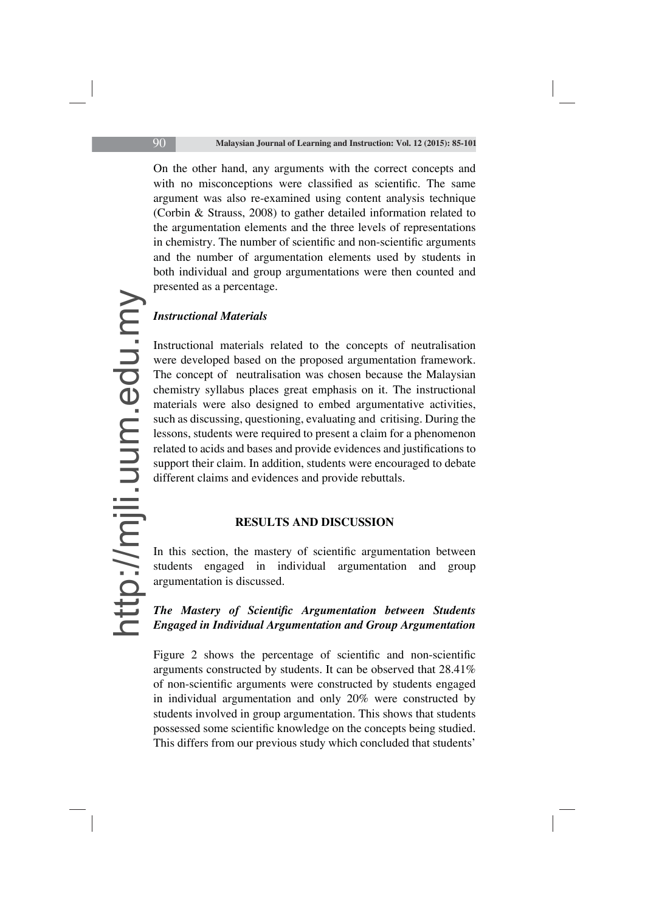On the other hand, any arguments with the correct concepts and with no misconceptions were classified as scientific. The same argument was also re-examined using content analysis technique (Corbin & Strauss, 2008) to gather detailed information related to the argumentation elements and the three levels of representations in chemistry. The number of scientific and non-scientific arguments and the number of argumentation elements used by students in both individual and group argumentations were then counted and presented as a percentage.

#### *Instructional Materials*

Instructional materials related to the concepts of neutralisation were developed based on the proposed argumentation framework. The concept of neutralisation was chosen because the Malaysian chemistry syllabus places great emphasis on it. The instructional materials were also designed to embed argumentative activities, such as discussing, questioning, evaluating and critising. During the lessons, students were required to present a claim for a phenomenon related to acids and bases and provide evidences and justifications to support their claim. In addition, students were encouraged to debate different claims and evidences and provide rebuttals.

## **RESULTS AND DISCUSSION**

In this section, the mastery of scientific argumentation between students engaged in individual argumentation and group argumentation is discussed.

# **The Mastery of Scientific Argumentation between Students** *Engaged in Individual Argumentation and Group Argumentation*

Figure  $2$  shows the percentage of scientific and non-scientific arguments constructed by students. It can be observed that 28.41% of non-scientific arguments were constructed by students engaged in individual argumentation and only 20% were constructed by students involved in group argumentation. This shows that students possessed some scientific knowledge on the concepts being studied. This differs from our previous study which concluded that students'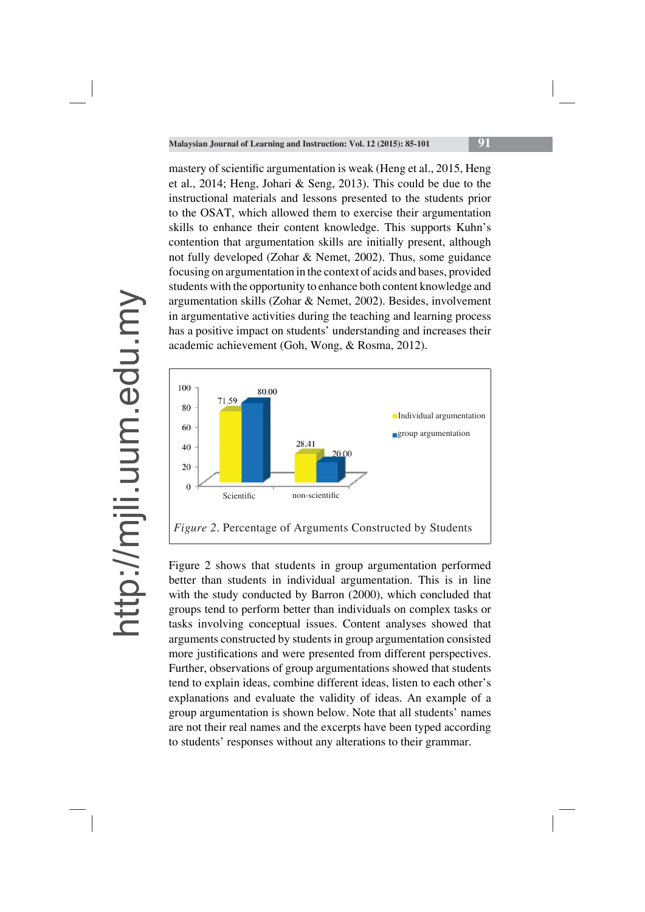mastery of scientific argumentation is weak (Heng et al., 2015, Heng et al., 2014; Heng, Johari & Seng, 2013). This could be due to the instructional materials and lessons presented to the students prior to the OSAT, which allowed them to exercise their argumentation skills to enhance their content knowledge. This supports Kuhn's contention that argumentation skills are initially present, although not fully developed (Zohar & Nemet, 2002). Thus, some guidance focusing on argumentation in the context of acids and bases, provided students with the opportunity to enhance both content knowledge and argumentation skills (Zohar & Nemet, 2002). Besides, involvement in argumentative activities during the teaching and learning process has a positive impact on students' understanding and increases their academic achievement (Goh, Wong, & Rosma, 2012).



Figure 2 shows that students in group argumentation performed better than students in individual argumentation. This is in line with the study conducted by Barron (2000), which concluded that groups tend to perform better than individuals on complex tasks or tasks involving conceptual issues. Content analyses showed that arguments constructed by students in group argumentation consisted more justifications and were presented from different perspectives. Further, observations of group argumentations showed that students tend to explain ideas, combine different ideas, listen to each other's explanations and evaluate the validity of ideas. An example of a group argumentation is shown below. Note that all students' names are not their real names and the excerpts have been typed according to students' responses without any alterations to their grammar.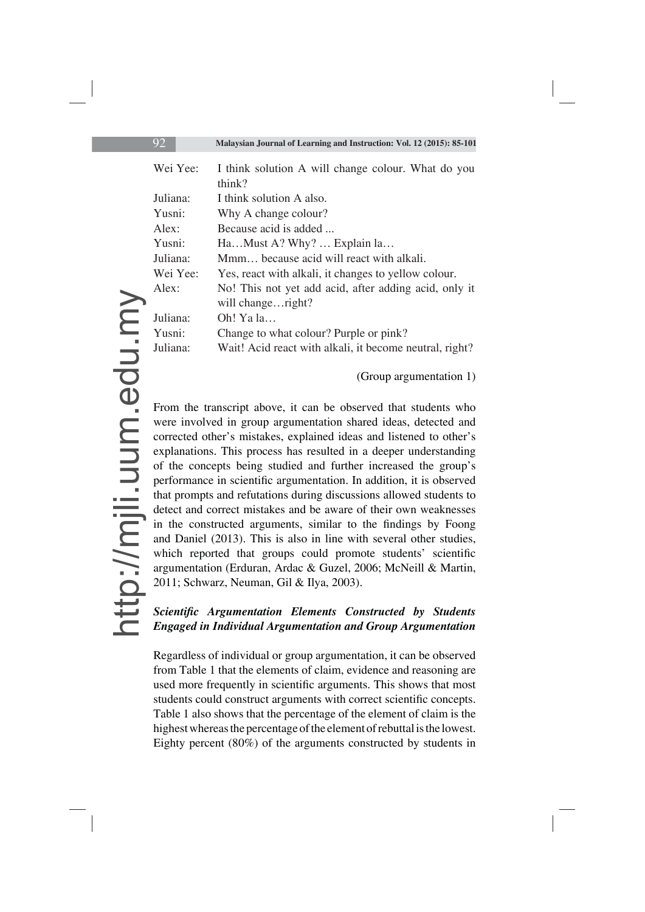| Wei Yee: | I think solution A will change colour. What do you<br>think?               |  |  |  |  |  |
|----------|----------------------------------------------------------------------------|--|--|--|--|--|
| Juliana: | I think solution A also.                                                   |  |  |  |  |  |
| Yusni:   | Why A change colour?                                                       |  |  |  |  |  |
| Alex:    | Because acid is added                                                      |  |  |  |  |  |
| Yusni:   | HaMust A? Why?  Explain la                                                 |  |  |  |  |  |
| Juliana: | Mmm because acid will react with alkali.                                   |  |  |  |  |  |
| Wei Yee: | Yes, react with alkali, it changes to yellow colour.                       |  |  |  |  |  |
| Alex:    | No! This not yet add acid, after adding acid, only it<br>will changeright? |  |  |  |  |  |
| Juliana: | Oh! Ya la                                                                  |  |  |  |  |  |
| Yusni:   | Change to what colour? Purple or pink?                                     |  |  |  |  |  |
| Juliana: | Wait! Acid react with alkali, it become neutral, right?                    |  |  |  |  |  |

#### (Group argumentation 1)

From the transcript above, it can be observed that students who were involved in group argumentation shared ideas, detected and corrected other's mistakes, explained ideas and listened to other's explanations. This process has resulted in a deeper understanding of the concepts being studied and further increased the group's performance in scientific argumentation. In addition, it is observed that prompts and refutations during discussions allowed students to detect and correct mistakes and be aware of their own weaknesses in the constructed arguments, similar to the findings by Foong and Daniel (2013). This is also in line with several other studies, which reported that groups could promote students' scientific argumentation (Erduran, Ardac & Guzel, 2006; McNeill & Martin, 2011; Schwarz, Neuman, Gil & Ilya, 2003).

## **Scientific Argumentation Elements Constructed by Students** *Engaged in Individual Argumentation and Group Argumentation*

Regardless of individual or group argumentation, it can be observed from Table 1 that the elements of claim, evidence and reasoning are used more frequently in scientific arguments. This shows that most students could construct arguments with correct scientific concepts. Table 1 also shows that the percentage of the element of claim is the highest whereas the percentage of the element of rebuttal is the lowest. Eighty percent (80%) of the arguments constructed by students in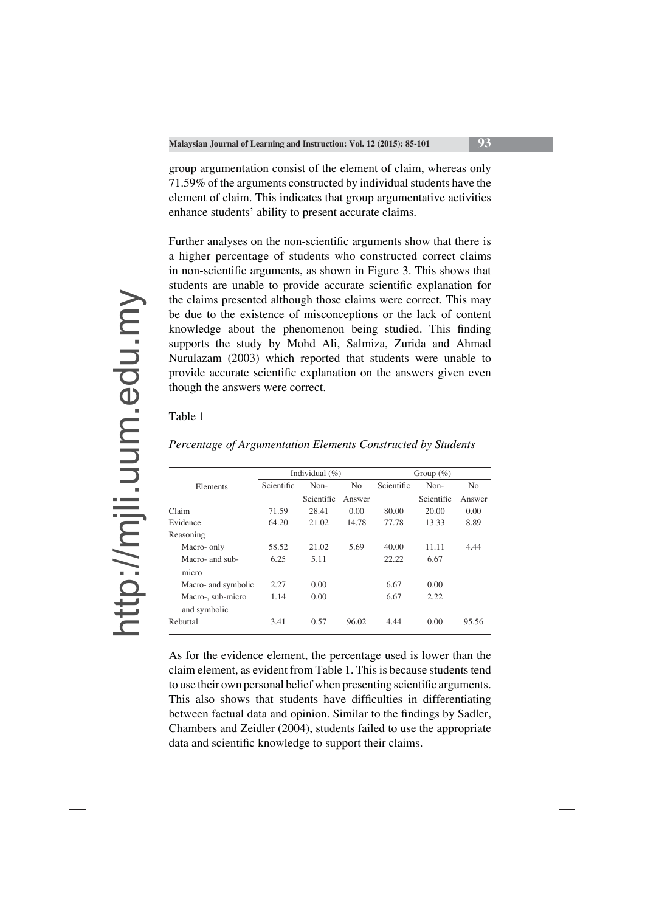group argumentation consist of the element of claim, whereas only 71.59% of the arguments constructed by individual students have the element of claim. This indicates that group argumentative activities enhance students' ability to present accurate claims.

Further analyses on the non-scientific arguments show that there is a higher percentage of students who constructed correct claims in non-scientific arguments, as shown in Figure 3. This shows that students are unable to provide accurate scientific explanation for the claims presented although those claims were correct. This may be due to the existence of misconceptions or the lack of content knowledge about the phenomenon being studied. This finding supports the study by Mohd Ali, Salmiza, Zurida and Ahmad Nurulazam (2003) which reported that students were unable to provide accurate scientific explanation on the answers given even though the answers were correct.

#### Table 1

|                     | Individual $(\% )$ |            |                | Group $(\%)$ |            |                |
|---------------------|--------------------|------------|----------------|--------------|------------|----------------|
| Elements            | Scientific         | Non-       | N <sub>0</sub> | Scientific   | Non-       | N <sub>0</sub> |
|                     |                    | Scientific | Answer         |              | Scientific | Answer         |
| Claim               | 71.59              | 28.41      | 0.00           | 80.00        | 20.00      | 0.00           |
| Evidence            | 64.20              | 21.02      | 14.78          | 77.78        | 13.33      | 8.89           |
| Reasoning           |                    |            |                |              |            |                |
| Macro- only         | 58.52              | 21.02      | 5.69           | 40.00        | 11.11      | 4.44           |
| Macro- and sub-     | 6.25               | 5.11       |                | 22.22        | 6.67       |                |
| micro               |                    |            |                |              |            |                |
| Macro- and symbolic | 2.27               | 0.00       |                | 6.67         | 0.00       |                |
| Macro-, sub-micro   | 1.14               | 0.00       |                | 6.67         | 2.22       |                |
| and symbolic        |                    |            |                |              |            |                |
| Rebuttal            | 3.41               | 0.57       | 96.02          | 4.44         | 0.00       | 95.56          |

*Percentage of Argumentation Elements Constructed by Students*

As for the evidence element, the percentage used is lower than the claim element, as evident from Table 1. This is because students tend to use their own personal belief when presenting scientific arguments. This also shows that students have difficulties in differentiating between factual data and opinion. Similar to the findings by Sadler, Chambers and Zeidler (2004), students failed to use the appropriate data and scientific knowledge to support their claims.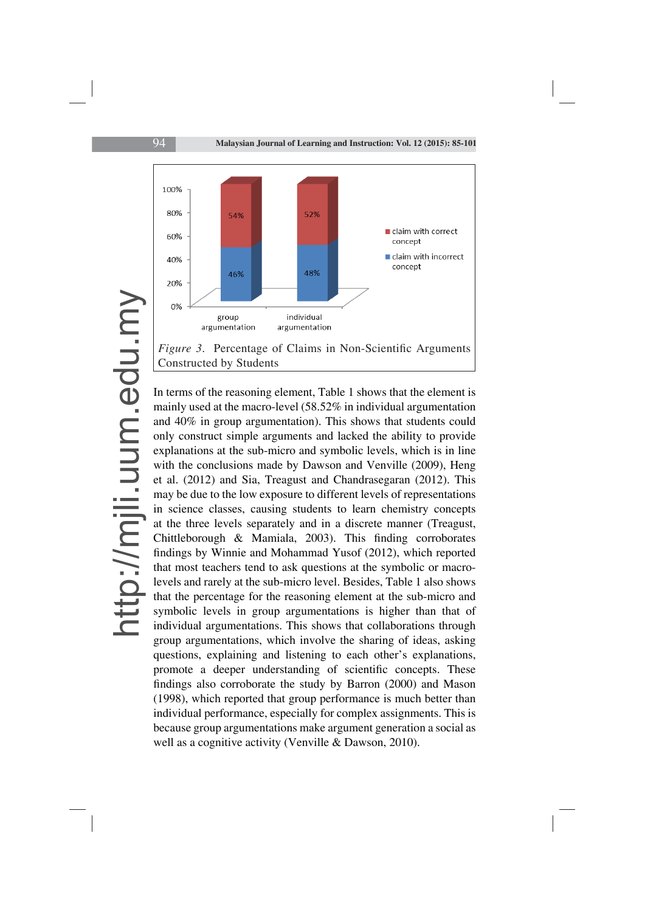

In terms of the reasoning element, Table 1 shows that the element is mainly used at the macro-level (58.52% in individual argumentation and 40% in group argumentation). This shows that students could only construct simple arguments and lacked the ability to provide explanations at the sub-micro and symbolic levels, which is in line with the conclusions made by Dawson and Venville (2009), Heng et al. (2012) and Sia, Treagust and Chandrasegaran (2012). This may be due to the low exposure to different levels of representations in science classes, causing students to learn chemistry concepts at the three levels separately and in a discrete manner (Treagust, Chittleborough  $\&$  Mamiala, 2003). This finding corroborates findings by Winnie and Mohammad Yusof (2012), which reported that most teachers tend to ask questions at the symbolic or macrolevels and rarely at the sub-micro level. Besides, Table 1 also shows that the percentage for the reasoning element at the sub-micro and symbolic levels in group argumentations is higher than that of individual argumentations. This shows that collaborations through group argumentations, which involve the sharing of ideas, asking questions, explaining and listening to each other's explanations, promote a deeper understanding of scientific concepts. These findings also corroborate the study by Barron (2000) and Mason (1998), which reported that group performance is much better than individual performance, especially for complex assignments. This is because group argumentations make argument generation a social as well as a cognitive activity (Venville & Dawson, 2010).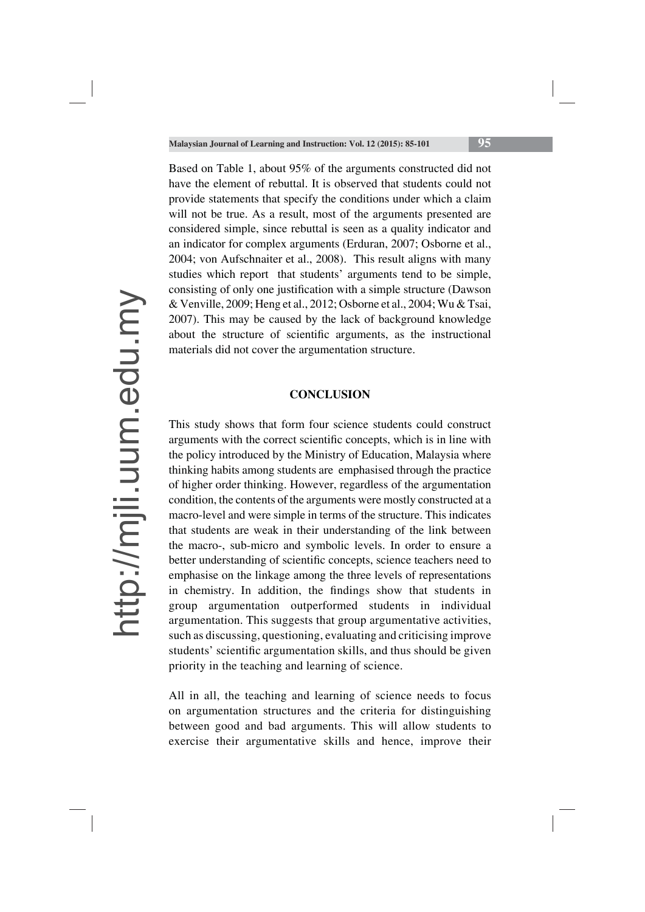Based on Table 1, about 95% of the arguments constructed did not have the element of rebuttal. It is observed that students could not provide statements that specify the conditions under which a claim will not be true. As a result, most of the arguments presented are considered simple, since rebuttal is seen as a quality indicator and an indicator for complex arguments (Erduran, 2007; Osborne et al., 2004; von Aufschnaiter et al., 2008). This result aligns with many studies which report that students' arguments tend to be simple, consisting of only one justification with a simple structure (Dawson & Venville, 2009; Heng et al., 2012; Osborne et al., 2004; Wu & Tsai, 2007). This may be caused by the lack of background knowledge about the structure of scientific arguments, as the instructional materials did not cover the argumentation structure.

#### **CONCLUSION**

This study shows that form four science students could construct arguments with the correct scientific concepts, which is in line with the policy introduced by the Ministry of Education, Malaysia where thinking habits among students are emphasised through the practice of higher order thinking. However, regardless of the argumentation condition, the contents of the arguments were mostly constructed at a macro-level and were simple in terms of the structure. This indicates that students are weak in their understanding of the link between the macro-, sub-micro and symbolic levels. In order to ensure a better understanding of scientific concepts, science teachers need to emphasise on the linkage among the three levels of representations in chemistry. In addition, the findings show that students in group argumentation outperformed students in individual argumentation. This suggests that group argumentative activities, such as discussing, questioning, evaluating and criticising improve students' scientific argumentation skills, and thus should be given priority in the teaching and learning of science.

All in all, the teaching and learning of science needs to focus on argumentation structures and the criteria for distinguishing between good and bad arguments. This will allow students to exercise their argumentative skills and hence, improve their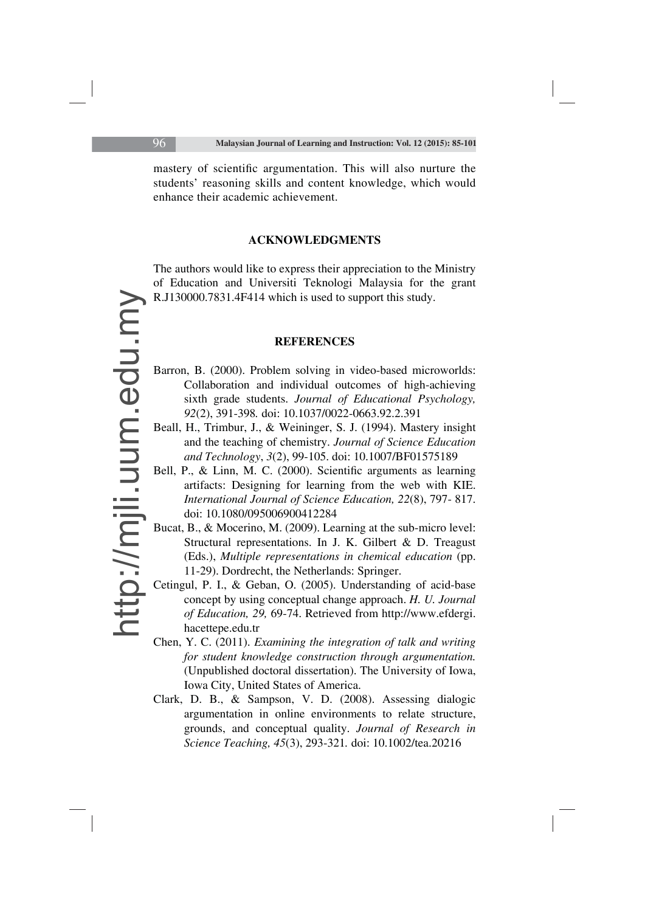mastery of scientific argumentation. This will also nurture the students' reasoning skills and content knowledge, which would enhance their academic achievement.

#### **ACKNOWLEDGMENTS**

The authors would like to express their appreciation to the Ministry of Education and Universiti Teknologi Malaysia for the grant R.J130000.7831.4F414 which is used to support this study.

#### **REFERENCES**

- Barron, B. (2000). Problem solving in video-based microworlds: Collaboration and individual outcomes of high-achieving sixth grade students. *Journal of Educational Psychology, 92*(2), 391-398*.* doi: 10.1037/0022-0663.92.2.391
- Beall, H., Trimbur, J., & Weininger, S. J. (1994). Mastery insight and the teaching of chemistry. *Journal of Science Education and Technology*, *3*(2), 99-105. doi: 10.1007/BF01575189
- Bell, P., & Linn, M. C. (2000). Scientific arguments as learning artifacts: Designing for learning from the web with KIE. *International Journal of Science Education, 22*(8), 797- 817. doi: 10.1080/095006900412284
- Bucat, B., & Mocerino, M. (2009). Learning at the sub-micro level: Structural representations. In J. K. Gilbert & D. Treagust (Eds.), *Multiple representations in chemical education* (pp. 11-29). Dordrecht, the Netherlands: Springer.
- Cetingul, P. I., & Geban, O. (2005). Understanding of acid-base concept by using conceptual change approach. *H. U. Journal of Education, 29,* 69-74. Retrieved from http://www.efdergi. hacettepe.edu.tr
- Chen, Y. C. (2011). *Examining the integration of talk and writing for student knowledge construction through argumentation.* (Unpublished doctoral dissertation). The University of Iowa, Iowa City, United States of America.
- Clark, D. B., & Sampson, V. D. (2008). Assessing dialogic argumentation in online environments to relate structure, grounds, and conceptual quality. *Journal of Research in Science Teaching, 45*(3), 293-321*.* doi: 10.1002/tea.20216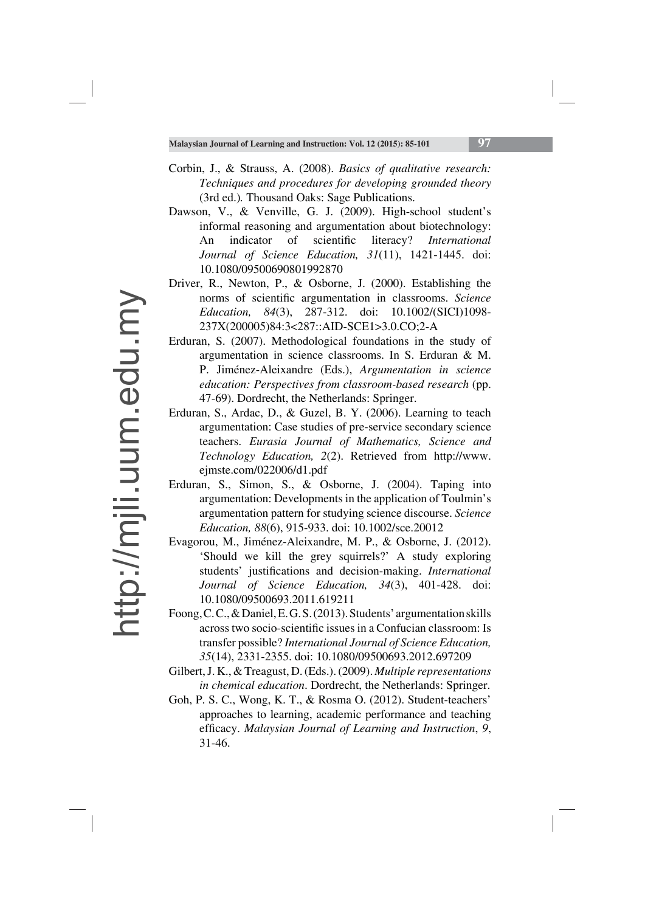- Corbin, J., & Strauss, A. (2008). *Basics of qualitative research: Techniques and procedures for developing grounded theory*  (3rd ed.)*.* Thousand Oaks: Sage Publications.
- Dawson, V., & Venville, G. J. (2009). High-school student's informal reasoning and argumentation about biotechnology: An indicator of scientific literacy? *International Journal of Science Education, 31*(11), 1421-1445. doi: 10.1080/09500690801992870
- Driver, R., Newton, P., & Osborne, J. (2000). Establishing the norms of scientific argumentation in classrooms. *Science Education, 84*(3), 287-312. doi: 10.1002/(SICI)1098- 237X(200005)84:3<287::AID-SCE1>3.0.CO;2-A
- Erduran, S. (2007). Methodological foundations in the study of argumentation in science classrooms. In S. Erduran & M. P. Jiménez-Aleixandre (Eds.), *Argumentation in science education: Perspectives from classroom-based research* (pp. 47-69). Dordrecht, the Netherlands: Springer.
- Erduran, S., Ardac, D., & Guzel, B. Y. (2006). Learning to teach argumentation: Case studies of pre-service secondary science teachers. *Eurasia Journal of Mathematics, Science and Technology Education, 2*(2). Retrieved from http://www. ejmste.com/022006/d1.pdf
- Erduran, S., Simon, S., & Osborne, J. (2004). Taping into argumentation: Developments in the application of Toulmin's argumentation pattern for studying science discourse. *Science Education, 88*(6), 915-933. doi: 10.1002/sce.20012
- Evagorou, M., Jiménez-Aleixandre, M. P., & Osborne, J. (2012). 'Should we kill the grey squirrels?' A study exploring students' justifications and decision-making. *International Journal of Science Education, 34*(3), 401-428. doi: 10.1080/09500693.2011.619211
- Foong, C. C., & Daniel, E. G. S. (2013). Students' argumentation skills across two socio-scientific issues in a Confucian classroom: Is transfer possible? *International Journal of Science Education, 35*(14), 2331-2355. doi: 10.1080/09500693.2012.697209
- Gilbert, J. K., & Treagust, D. (Eds.). (2009). *Multiple representations in chemical education*. Dordrecht, the Netherlands: Springer.
- Goh, P. S. C., Wong, K. T., & Rosma O. (2012). Student-teachers' approaches to learning, academic performance and teaching efficacy. *Malaysian Journal of Learning and Instruction*, 9, 31-46.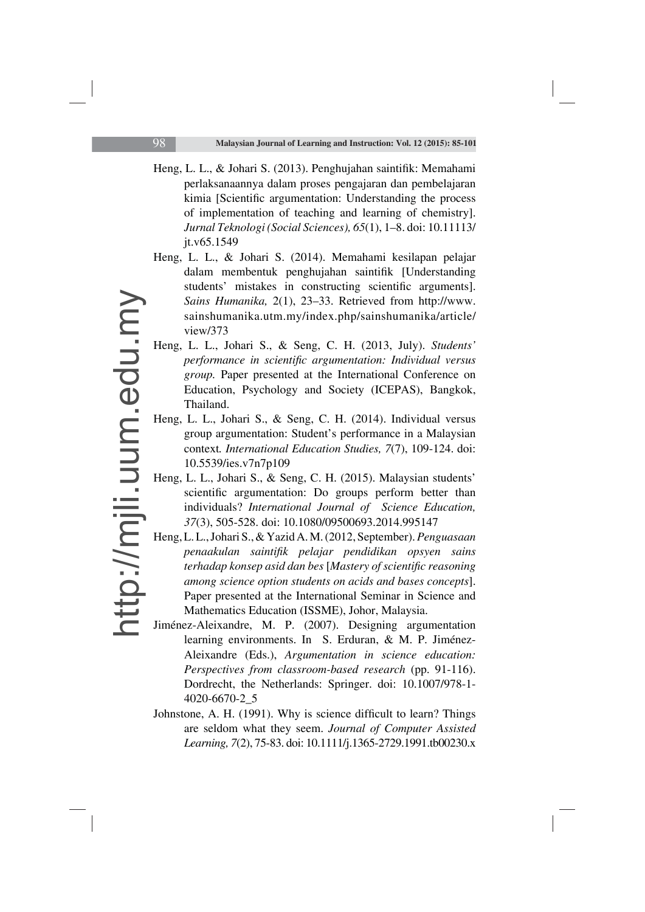- Heng, L. L., & Johari S. (2013). Penghujahan saintifik: Memahami perlaksanaannya dalam proses pengajaran dan pembelajaran kimia [Scientific argumentation: Understanding the process of implementation of teaching and learning of chemistry]. *Jurnal Teknologi (Social Sciences), 65*(1), 1–8. doi: 10.11113/ jt.v65.1549
- Heng, L. L., & Johari S. (2014). Memahami kesilapan pelajar dalam membentuk penghujahan saintifik [Understanding students' mistakes in constructing scientific arguments]. *Sains Humanika,* 2(1), 23–33. Retrieved from http://www. sainshumanika.utm.my/index.php/sainshumanika/article/ view/373
- Heng, L. L., Johari S., & Seng, C. H. (2013, July). *Students' performance in scientific argumentation: Individual versus group.* Paper presented at the International Conference on Education, Psychology and Society (ICEPAS), Bangkok, Thailand.
- Heng, L. L., Johari S., & Seng, C. H. (2014). Individual versus group argumentation: Student's performance in a Malaysian context*. International Education Studies, 7*(7), 109-124. doi: 10.5539/ies.v7n7p109
- Heng, L. L., Johari S., & Seng, C. H. (2015). Malaysian students' scientific argumentation: Do groups perform better than individuals? *International Journal of Science Education, 37*(3), 505-528. doi: 10.1080/09500693.2014.995147
- Heng, L. L., Johari S., & Yazid A. M. (2012, September). *Penguasaan penaakulan saintifi k pelajar pendidikan opsyen sains terhadap konsep asid dan bes [Mastery of scientific reasoning among science option students on acids and bases concepts*]. Paper presented at the International Seminar in Science and Mathematics Education (ISSME), Johor, Malaysia.
- Jiménez-Aleixandre, M. P. (2007). Designing argumentation learning environments. In S. Erduran, & M. P. Jiménez-Aleixandre (Eds.), *Argumentation in science education: Perspectives from classroom-based research* (pp. 91-116). Dordrecht, the Netherlands: Springer. doi: 10.1007/978-1- 4020-6670-2\_5
- Johnstone, A. H. (1991). Why is science difficult to learn? Things are seldom what they seem. *Journal of Computer Assisted Learning, 7*(2), 75-83. doi: 10.1111/j.1365-2729.1991.tb00230.x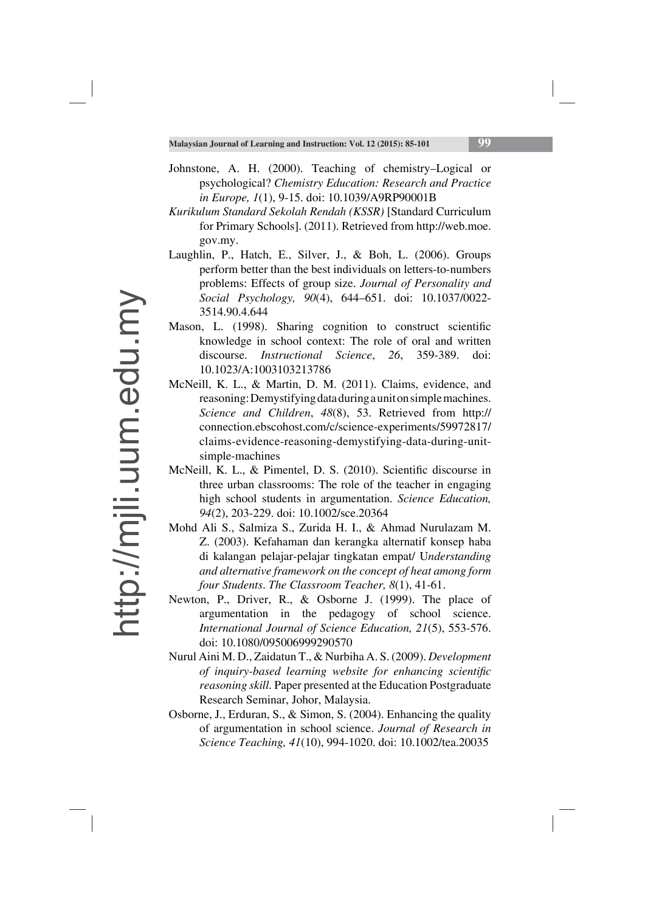- Johnstone, A. H. (2000). Teaching of chemistry–Logical or psychological? *Chemistry Education: Research and Practice in Europe, 1*(1), 9-15. doi: 10.1039/A9RP90001B
- *Kurikulum Standard Sekolah Rendah (KSSR)* [Standard Curriculum for Primary Schools]. (2011). Retrieved from http://web.moe. gov.my.
- Laughlin, P., Hatch, E., Silver, J., & Boh, L. (2006). Groups perform better than the best individuals on letters-to-numbers problems: Effects of group size. *Journal of Personality and Social Psychology, 90*(4), 644–651. doi: 10.1037/0022- 3514.90.4.644
- Mason, L. (1998). Sharing cognition to construct scientific knowledge in school context: The role of oral and written discourse. *Instructional Science*, *26*, 359-389. doi: 10.1023/A:1003103213786
- McNeill, K. L., & Martin, D. M. (2011). Claims, evidence, and reasoning: Demystifying data during a unit on simple machines. *Science and Children*, *48*(8), 53. Retrieved from http:// connection.ebscohost.com/c/science-experiments/59972817/ claims-evidence-reasoning-demystifying-data-during-unitsimple-machines
- McNeill, K. L., & Pimentel, D. S. (2010). Scientific discourse in three urban classrooms: The role of the teacher in engaging high school students in argumentation. *Science Education, 94*(2), 203-229. doi: 10.1002/sce.20364
- Mohd Ali S., Salmiza S., Zurida H. I., & Ahmad Nurulazam M. Z. (2003). Kefahaman dan kerangka alternatif konsep haba di kalangan pelajar-pelajar tingkatan empat/ U*nderstanding and alternative framework on the concept of heat among form four Students*. *The Classroom Teacher, 8*(1), 41-61.
- Newton, P., Driver, R., & Osborne J. (1999). The place of argumentation in the pedagogy of school science. *International Journal of Science Education, 21*(5), 553-576. doi: 10.1080/095006999290570
- Nurul Aini M. D., Zaidatun T., & Nurbiha A. S. (2009). *Development of inquiry-based learning website for enhancing scientific reasoning skill.* Paper presented at the Education Postgraduate Research Seminar, Johor, Malaysia.
- Osborne, J., Erduran, S., & Simon, S. (2004). Enhancing the quality of argumentation in school science. *Journal of Research in Science Teaching, 41*(10), 994-1020. doi: 10.1002/tea.20035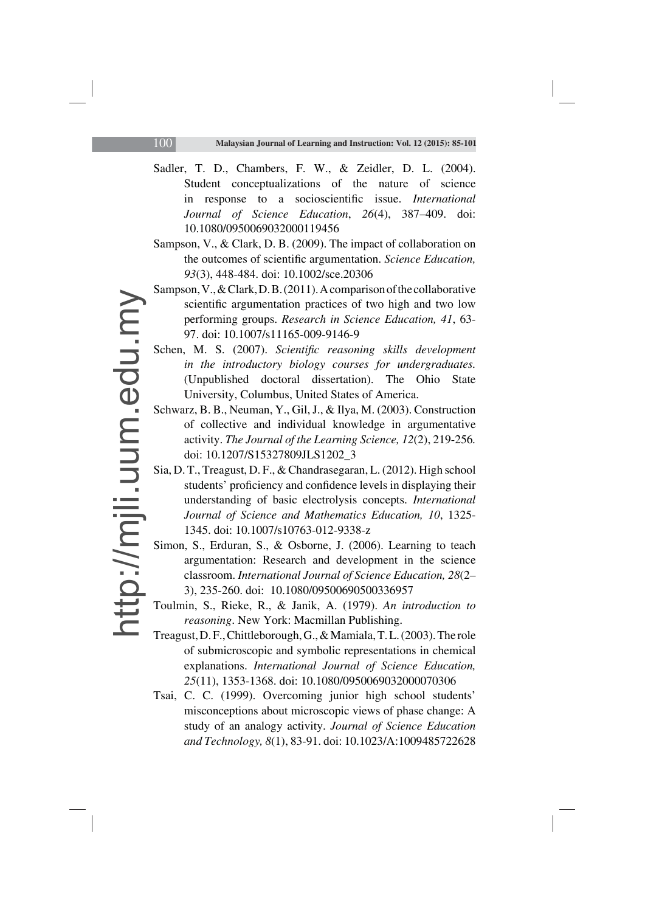- Sadler, T. D., Chambers, F. W., & Zeidler, D. L. (2004). Student conceptualizations of the nature of science in response to a socioscientific issue. *International Journal of Science Education*, *26*(4), 387–409. doi: 10.1080/0950069032000119456
- Sampson, V., & Clark, D. B. (2009). The impact of collaboration on the outcomes of scientific argumentation. *Science Education*, *93*(3), 448-484. doi: 10.1002/sce.20306
- Sampson, V., & Clark, D. B. (2011). A comparison of the collaborative scientific argumentation practices of two high and two low performing groups. *Research in Science Education, 41*, 63- 97. doi: 10.1007/s11165-009-9146-9
- Schen, M. S. (2007). *Scientific reasoning skills development in the introductory biology courses for undergraduates.*  (Unpublished doctoral dissertation). The Ohio State University, Columbus, United States of America.
- Schwarz, B. B., Neuman, Y., Gil, J., & Ilya, M. (2003). Construction of collective and individual knowledge in argumentative activity. *The Journal of the Learning Science, 12*(2), 219-256*.* doi: 10.1207/S15327809JLS1202\_3
- Sia, D. T., Treagust, D. F., & Chandrasegaran, L. (2012). High school students' proficiency and confidence levels in displaying their understanding of basic electrolysis concepts. *International Journal of Science and Mathematics Education, 10*, 1325- 1345. doi: 10.1007/s10763-012-9338-z
- Simon, S., Erduran, S., & Osborne, J. (2006). Learning to teach argumentation: Research and development in the science classroom. *International Journal of Science Education, 28*(2– 3), 235-260. doi: 10.1080/09500690500336957
- Toulmin, S., Rieke, R., & Janik, A. (1979). *An introduction to reasoning*. New York: Macmillan Publishing.
- Treagust, D. F., Chittleborough, G., & Mamiala, T. L. (2003). The role of submicroscopic and symbolic representations in chemical explanations. *International Journal of Science Education, 25*(11), 1353-1368. doi: 10.1080/0950069032000070306
- Tsai, C. C. (1999). Overcoming junior high school students' misconceptions about microscopic views of phase change: A study of an analogy activity. *Journal of Science Education and Technology, 8*(1), 83-91. doi: 10.1023/A:1009485722628